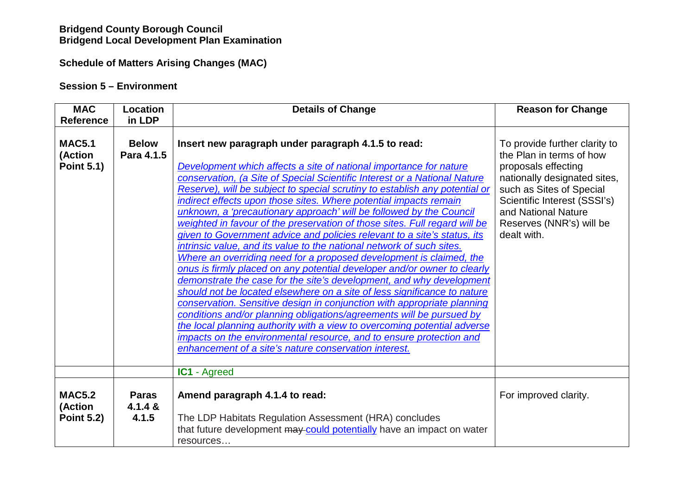# **Bridgend County Borough Council Bridgend Local Development Plan Examination**

## **Schedule of Matters Arising Changes (MAC)**

## **Session 5 – Environment**

| <b>MAC</b><br><b>Reference</b>                | Location<br>in LDP               | <b>Details of Change</b>                                                                                                                                                                                                                                                                                                                                                                                                                                                                                                                                                                                                                                                                                                                                                                                                                                                                                                                                                                                                                                                                                                                                                                                                                                                                                                                   | <b>Reason for Change</b>                                                                                                                                                                                                                       |
|-----------------------------------------------|----------------------------------|--------------------------------------------------------------------------------------------------------------------------------------------------------------------------------------------------------------------------------------------------------------------------------------------------------------------------------------------------------------------------------------------------------------------------------------------------------------------------------------------------------------------------------------------------------------------------------------------------------------------------------------------------------------------------------------------------------------------------------------------------------------------------------------------------------------------------------------------------------------------------------------------------------------------------------------------------------------------------------------------------------------------------------------------------------------------------------------------------------------------------------------------------------------------------------------------------------------------------------------------------------------------------------------------------------------------------------------------|------------------------------------------------------------------------------------------------------------------------------------------------------------------------------------------------------------------------------------------------|
| <b>MAC5.1</b><br>(Action<br><b>Point 5.1)</b> | <b>Below</b><br>Para 4.1.5       | Insert new paragraph under paragraph 4.1.5 to read:<br>Development which affects a site of national importance for nature<br>conservation, (a Site of Special Scientific Interest or a National Nature<br>Reserve), will be subject to special scrutiny to establish any potential or<br>indirect effects upon those sites. Where potential impacts remain<br>unknown, a 'precautionary approach' will be followed by the Council<br>weighted in favour of the preservation of those sites. Full regard will be<br>given to Government advice and policies relevant to a site's status, its<br>intrinsic value, and its value to the national network of such sites.<br>Where an overriding need for a proposed development is claimed, the<br>onus is firmly placed on any potential developer and/or owner to clearly<br>demonstrate the case for the site's development, and why development<br>should not be located elsewhere on a site of less significance to nature<br>conservation. Sensitive design in conjunction with appropriate planning<br>conditions and/or planning obligations/agreements will be pursued by<br>the local planning authority with a view to overcoming potential adverse<br>impacts on the environmental resource, and to ensure protection and<br>enhancement of a site's nature conservation interest. | To provide further clarity to<br>the Plan in terms of how<br>proposals effecting<br>nationally designated sites,<br>such as Sites of Special<br>Scientific Interest (SSSI's)<br>and National Nature<br>Reserves (NNR's) will be<br>dealt with. |
|                                               |                                  | <b>IC1</b> - Agreed                                                                                                                                                                                                                                                                                                                                                                                                                                                                                                                                                                                                                                                                                                                                                                                                                                                                                                                                                                                                                                                                                                                                                                                                                                                                                                                        |                                                                                                                                                                                                                                                |
| <b>MAC5.2</b><br>(Action<br><b>Point 5.2)</b> | <b>Paras</b><br>4.1.4 &<br>4.1.5 | Amend paragraph 4.1.4 to read:<br>The LDP Habitats Regulation Assessment (HRA) concludes<br>that future development may could potentially have an impact on water<br>resources                                                                                                                                                                                                                                                                                                                                                                                                                                                                                                                                                                                                                                                                                                                                                                                                                                                                                                                                                                                                                                                                                                                                                             | For improved clarity.                                                                                                                                                                                                                          |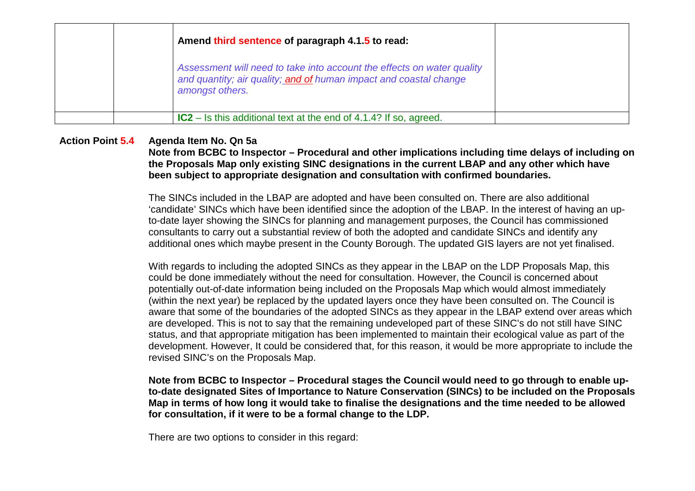|  | Amend third sentence of paragraph 4.1.5 to read:                                                                                                               |  |
|--|----------------------------------------------------------------------------------------------------------------------------------------------------------------|--|
|  | Assessment will need to take into account the effects on water quality<br>and quantity; air quality; and of human impact and coastal change<br>amongst others. |  |
|  | <b>IC2</b> – Is this additional text at the end of 4.1.4? If so, agreed.                                                                                       |  |

### **Action Point 5.4 Agenda Item No. Qn 5a**

 **Note from BCBC to Inspector – Procedural and other implications including time delays of including on the Proposals Map only existing SINC designations in the current LBAP and any other which have been subject to appropriate designation and consultation with confirmed boundaries.** 

The SINCs included in the LBAP are adopted and have been consulted on. There are also additional 'candidate' SINCs which have been identified since the adoption of the LBAP. In the interest of having an upto-date layer showing the SINCs for planning and management purposes, the Council has commissioned consultants to carry out a substantial review of both the adopted and candidate SINCs and identify anyadditional ones which maybe present in the County Borough. The updated GIS layers are not yet finalised.

With regards to including the adopted SINCs as they appear in the LBAP on the LDP Proposals Map, this could be done immediately without the need for consultation. However, the Council is concerned about potentially out-of-date information being included on the Proposals Map which would almost immediately (within the next year) be replaced by the updated layers once they have been consulted on. The Council is aware that some of the boundaries of the adopted SINCs as they appear in the LBAP extend over areas which are developed. This is not to say that the remaining undeveloped part of these SINC's do not still have SINC status, and that appropriate mitigation has been implemented to maintain their ecological value as part of the development. However, It could be considered that, for this reason, it would be more appropriate to include the revised SINC's on the Proposals Map.

**Note from BCBC to Inspector – Procedural stages the Council would need to go through to enable upto-date designated Sites of Importance to Nature Conservation (SINCs) to be included on the Proposals Map in terms of how long it would take to finalise the designations and the time needed to be allowed for consultation, if it were to be a formal change to the LDP.** 

There are two options to consider in this regard: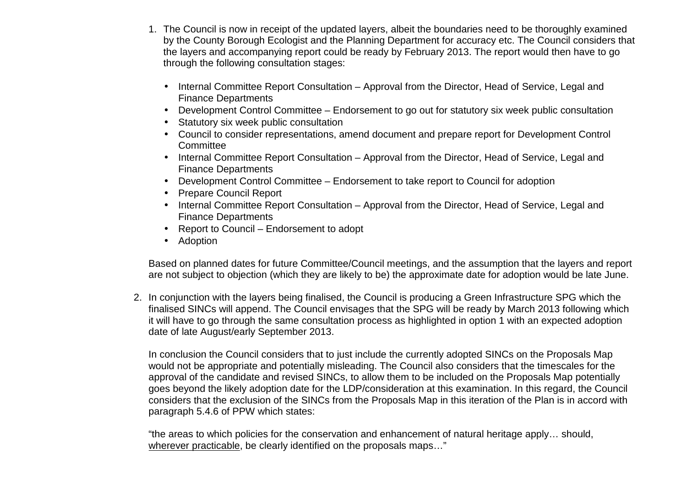- 1. The Council is now in receipt of the updated layers, albeit the boundaries need to be thoroughly examined by the County Borough Ecologist and the Planning Department for accuracy etc. The Council considers that the layers and accompanying report could be ready by February 2013. The report would then have to go through the following consultation stages:
	- Internal Committee Report Consultation Approval from the Director, Head of Service, Legal and Finance Departments
	- Development Control Committee Endorsement to go out for statutory six week public consultation
	- Statutory six week public consultation
	- Council to consider representations, amend document and prepare report for Development Control **Committee**
	- Internal Committee Report Consultation Approval from the Director, Head of Service, Legal and Finance Departments
	- Development Control Committee Endorsement to take report to Council for adoption
	- Prepare Council Report
	- Internal Committee Report Consultation Approval from the Director, Head of Service, Legal and Finance Departments
	- Report to Council Endorsement to adopt
	- Adoption

Based on planned dates for future Committee/Council meetings, and the assumption that the layers and report are not subject to objection (which they are likely to be) the approximate date for adoption would be late June.

2. In conjunction with the layers being finalised, the Council is producing a Green Infrastructure SPG which the finalised SINCs will append. The Council envisages that the SPG will be ready by March 2013 following which it will have to go through the same consultation process as highlighted in option 1 with an expected adoption date of late August/early September 2013.

In conclusion the Council considers that to just include the currently adopted SINCs on the Proposals Map would not be appropriate and potentially misleading. The Council also considers that the timescales for the approval of the candidate and revised SINCs, to allow them to be included on the Proposals Map potentially goes beyond the likely adoption date for the LDP/consideration at this examination. In this regard, the Council considers that the exclusion of the SINCs from the Proposals Map in this iteration of the Plan is in accord with paragraph 5.4.6 of PPW which states:

"the areas to which policies for the conservation and enhancement of natural heritage apply… should, wherever practicable, be clearly identified on the proposals maps…"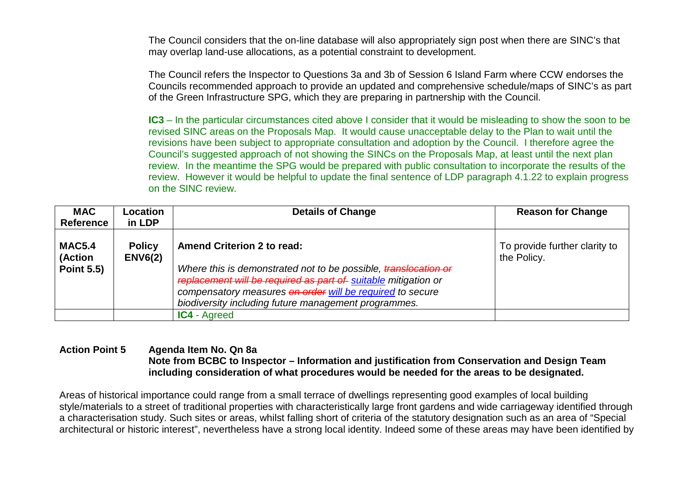The Council considers that the on-line database will also appropriately sign post when there are SINC's that may overlap land-use allocations, as a potential constraint to development.

The Council refers the Inspector to Questions 3a and 3b of Session 6 Island Farm where CCW endorses the Councils recommended approach to provide an updated and comprehensive schedule/maps of SINC's as part of the Green Infrastructure SPG, which they are preparing in partnership with the Council.

**IC3** – In the particular circumstances cited above I consider that it would be misleading to show the soon to be revised SINC areas on the Proposals Map. It would cause unacceptable delay to the Plan to wait until the revisions have been subject to appropriate consultation and adoption by the Council. I therefore agree the Council's suggested approach of not showing the SINCs on the Proposals Map, at least until the next plan review. In the meantime the SPG would be prepared with public consultation to incorporate the results of the review. However it would be helpful to update the final sentence of LDP paragraph 4.1.22 to explain progress on the SINC review.

| <b>MAC</b><br><b>Reference</b> | Location<br>in LDP              | <b>Details of Change</b>                                                                                                                                                                                                                               | <b>Reason for Change</b>                     |
|--------------------------------|---------------------------------|--------------------------------------------------------------------------------------------------------------------------------------------------------------------------------------------------------------------------------------------------------|----------------------------------------------|
| <b>MAC5.4</b><br>(Action       | <b>Policy</b><br><b>ENV6(2)</b> | <b>Amend Criterion 2 to read:</b>                                                                                                                                                                                                                      | To provide further clarity to<br>the Policy. |
| <b>Point 5.5)</b>              |                                 | Where this is demonstrated not to be possible, translocation or<br>replacement will be required as part of suitable mitigation or<br>compensatory measures on order will be required to secure<br>biodiversity including future management programmes. |                                              |
|                                |                                 | <b>IC4 - Agreed</b>                                                                                                                                                                                                                                    |                                              |

### **Action Point 5 Agenda Item No. Qn 8a Note from BCBC to Inspector – Information and justification from Conservation and Design Team including consideration of what procedures would be needed for the areas to be designated.**

Areas of historical importance could range from a small terrace of dwellings representing good examples of local building style/materials to a street of traditional properties with characteristically large front gardens and wide carriageway identified through a characterisation study. Such sites or areas, whilst falling short of criteria of the statutory designation such as an area of "Special architectural or historic interest", nevertheless have a strong local identity. Indeed some of these areas may have been identified by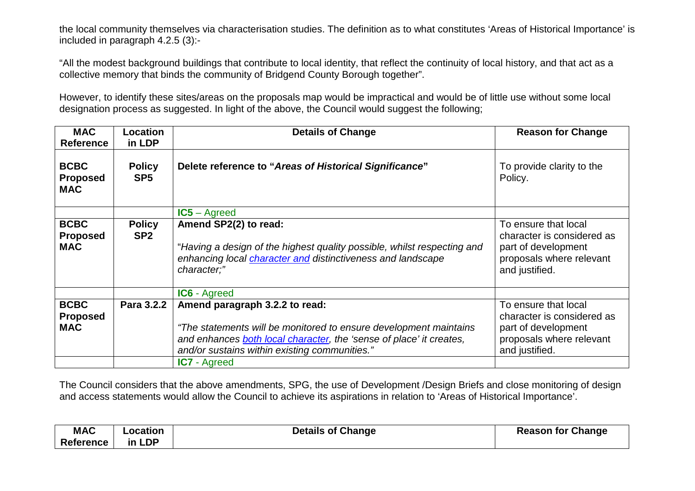the local community themselves via characterisation studies. The definition as to what constitutes 'Areas of Historical Importance' is included in paragraph 4.2.5 (3):-

"All the modest background buildings that contribute to local identity, that reflect the continuity of local history, and that act as a collective memory that binds the community of Bridgend County Borough together".

However, to identify these sites/areas on the proposals map would be impractical and would be of little use without some local designation process as suggested. In light of the above, the Council would suggest the following;

| <b>MAC</b><br><b>Reference</b>               | <b>Location</b><br>in LDP        | <b>Details of Change</b>                                                                                                                                                                                                    | <b>Reason for Change</b>                                                                                                |
|----------------------------------------------|----------------------------------|-----------------------------------------------------------------------------------------------------------------------------------------------------------------------------------------------------------------------------|-------------------------------------------------------------------------------------------------------------------------|
| <b>BCBC</b><br><b>Proposed</b><br><b>MAC</b> | <b>Policy</b><br>SP <sub>5</sub> | Delete reference to "Areas of Historical Significance"                                                                                                                                                                      | To provide clarity to the<br>Policy.                                                                                    |
|                                              |                                  | $IC5 - Agreed$                                                                                                                                                                                                              |                                                                                                                         |
| <b>BCBC</b><br><b>Proposed</b><br><b>MAC</b> | <b>Policy</b><br>SP <sub>2</sub> | Amend SP2(2) to read:<br>"Having a design of the highest quality possible, whilst respecting and<br>enhancing local character and distinctiveness and landscape<br>character;"                                              | To ensure that local<br>character is considered as<br>part of development<br>proposals where relevant<br>and justified. |
|                                              |                                  | <b>IC6 - Agreed</b>                                                                                                                                                                                                         |                                                                                                                         |
| <b>BCBC</b><br><b>Proposed</b><br><b>MAC</b> | Para 3.2.2                       | Amend paragraph 3.2.2 to read:<br>"The statements will be monitored to ensure development maintains<br>and enhances both local character, the 'sense of place' it creates,<br>and/or sustains within existing communities." | To ensure that local<br>character is considered as<br>part of development<br>proposals where relevant<br>and justified. |
|                                              |                                  | <b>IC7</b> - Agreed                                                                                                                                                                                                         |                                                                                                                         |

The Council considers that the above amendments, SPG, the use of Development /Design Briefs and close monitoring of design and access statements would allow the Council to achieve its aspirations in relation to 'Areas of Historical Importance'.

| <b>MAC</b>       | ∟ocation | <b>Details of Change</b> | <b>Reason for Change</b> |
|------------------|----------|--------------------------|--------------------------|
| <b>Reference</b> | in LDP   |                          |                          |